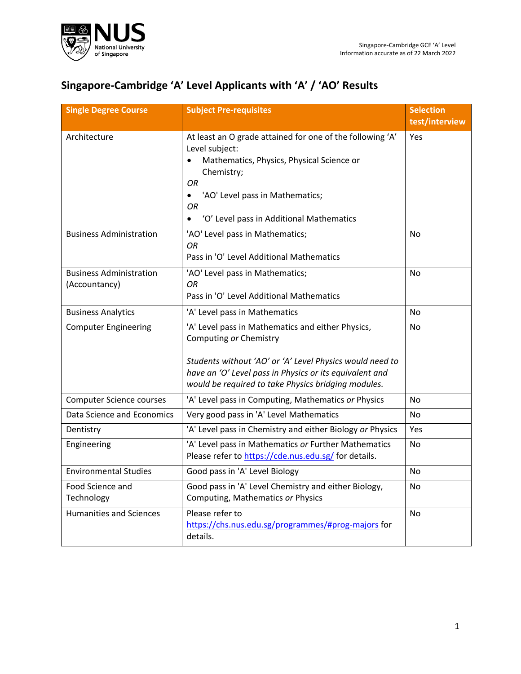

## **Singapore-Cambridge 'A' Level Applicants with 'A' / 'AO' Results**

| <b>Single Degree Course</b>                     | <b>Subject Pre-requisites</b>                                                                                                                                                                                                                                             | <b>Selection</b><br>test/interview |
|-------------------------------------------------|---------------------------------------------------------------------------------------------------------------------------------------------------------------------------------------------------------------------------------------------------------------------------|------------------------------------|
| Architecture                                    | At least an O grade attained for one of the following 'A'<br>Level subject:<br>Mathematics, Physics, Physical Science or<br>Chemistry;<br><b>OR</b><br>'AO' Level pass in Mathematics;<br>$\bullet$<br><b>OR</b><br>'O' Level pass in Additional Mathematics<br>$\bullet$ | Yes                                |
| <b>Business Administration</b>                  | 'AO' Level pass in Mathematics;<br>OR.<br>Pass in 'O' Level Additional Mathematics                                                                                                                                                                                        | No                                 |
| <b>Business Administration</b><br>(Accountancy) | 'AO' Level pass in Mathematics;<br>OR.<br>Pass in 'O' Level Additional Mathematics                                                                                                                                                                                        | No                                 |
| <b>Business Analytics</b>                       | 'A' Level pass in Mathematics                                                                                                                                                                                                                                             | <b>No</b>                          |
| <b>Computer Engineering</b>                     | 'A' Level pass in Mathematics and either Physics,<br>Computing or Chemistry<br>Students without 'AO' or 'A' Level Physics would need to<br>have an 'O' Level pass in Physics or its equivalent and<br>would be required to take Physics bridging modules.                 | No                                 |
| <b>Computer Science courses</b>                 | 'A' Level pass in Computing, Mathematics or Physics                                                                                                                                                                                                                       | No                                 |
| Data Science and Economics                      | Very good pass in 'A' Level Mathematics                                                                                                                                                                                                                                   | No                                 |
| Dentistry                                       | 'A' Level pass in Chemistry and either Biology or Physics                                                                                                                                                                                                                 | Yes                                |
| Engineering                                     | 'A' Level pass in Mathematics or Further Mathematics<br>Please refer to https://cde.nus.edu.sg/ for details.                                                                                                                                                              | <b>No</b>                          |
| <b>Environmental Studies</b>                    | Good pass in 'A' Level Biology                                                                                                                                                                                                                                            | <b>No</b>                          |
| Food Science and<br>Technology                  | Good pass in 'A' Level Chemistry and either Biology,<br>Computing, Mathematics or Physics                                                                                                                                                                                 | No                                 |
| <b>Humanities and Sciences</b>                  | Please refer to<br>https://chs.nus.edu.sg/programmes/#prog-majors for<br>details.                                                                                                                                                                                         | No                                 |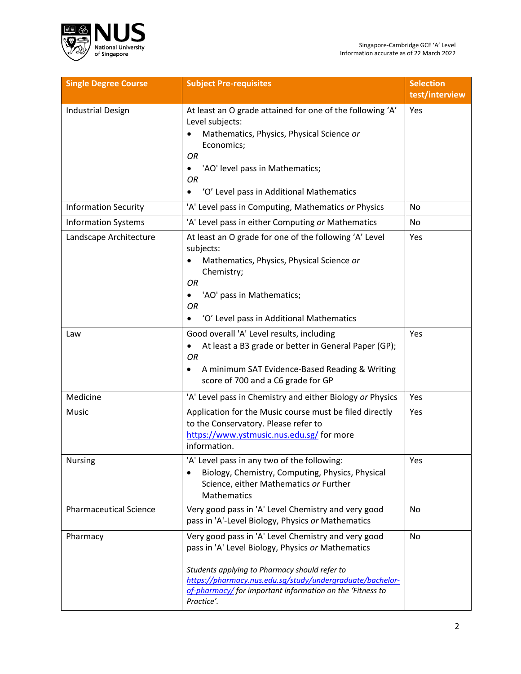

| <b>Single Degree Course</b>   | <b>Subject Pre-requisites</b>                                                                                                                                                                                                                                                                    | <b>Selection</b><br>test/interview |
|-------------------------------|--------------------------------------------------------------------------------------------------------------------------------------------------------------------------------------------------------------------------------------------------------------------------------------------------|------------------------------------|
| <b>Industrial Design</b>      | At least an O grade attained for one of the following 'A'<br>Level subjects:<br>Mathematics, Physics, Physical Science or<br>Economics;<br>OR<br>'AO' level pass in Mathematics;<br>OR<br>'O' Level pass in Additional Mathematics                                                               | Yes                                |
| <b>Information Security</b>   | 'A' Level pass in Computing, Mathematics or Physics                                                                                                                                                                                                                                              | No                                 |
| <b>Information Systems</b>    | 'A' Level pass in either Computing or Mathematics                                                                                                                                                                                                                                                | No.                                |
| Landscape Architecture        | At least an O grade for one of the following 'A' Level<br>subjects:<br>Mathematics, Physics, Physical Science or<br>Chemistry;<br><b>OR</b><br>'AO' pass in Mathematics;<br>OR<br>'O' Level pass in Additional Mathematics<br>$\bullet$                                                          | Yes                                |
| Law                           | Good overall 'A' Level results, including<br>At least a B3 grade or better in General Paper (GP);<br><b>OR</b><br>A minimum SAT Evidence-Based Reading & Writing<br>٠<br>score of 700 and a C6 grade for GP                                                                                      | Yes                                |
| Medicine                      | 'A' Level pass in Chemistry and either Biology or Physics                                                                                                                                                                                                                                        | Yes                                |
| <b>Music</b>                  | Application for the Music course must be filed directly<br>to the Conservatory. Please refer to<br>https://www.ystmusic.nus.edu.sg/ for more<br>information.                                                                                                                                     | Yes                                |
| <b>Nursing</b>                | 'A' Level pass in any two of the following:<br>Biology, Chemistry, Computing, Physics, Physical<br>Science, either Mathematics or Further<br>Mathematics                                                                                                                                         | Yes                                |
| <b>Pharmaceutical Science</b> | Very good pass in 'A' Level Chemistry and very good<br>pass in 'A'-Level Biology, Physics or Mathematics                                                                                                                                                                                         | No                                 |
| Pharmacy                      | Very good pass in 'A' Level Chemistry and very good<br>pass in 'A' Level Biology, Physics or Mathematics<br>Students applying to Pharmacy should refer to<br>https://pharmacy.nus.edu.sg/study/undergraduate/bachelor-<br>of-pharmacy/for important information on the 'Fitness to<br>Practice'. | No                                 |